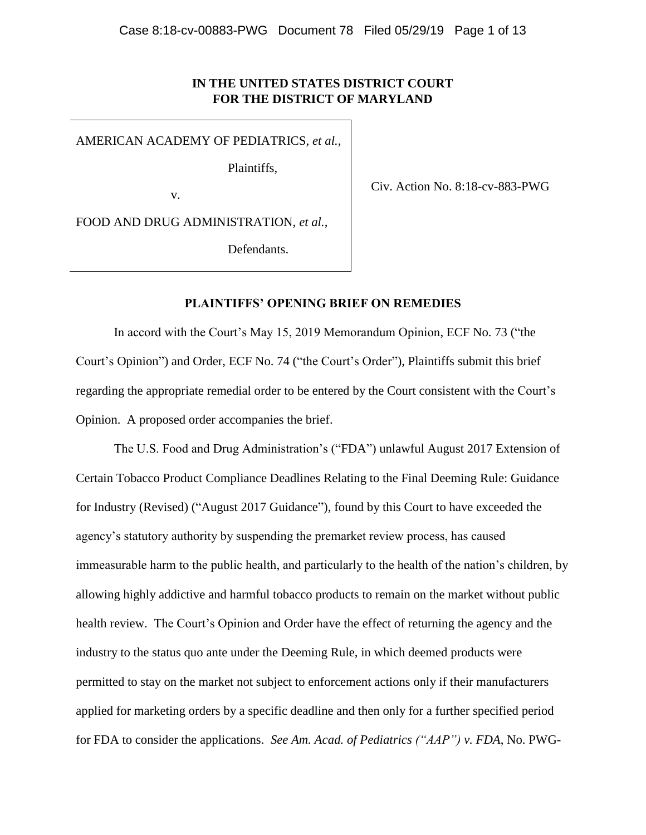# **IN THE UNITED STATES DISTRICT COURT FOR THE DISTRICT OF MARYLAND**

AMERICAN ACADEMY OF PEDIATRICS, *et al.*,

Plaintiffs,

v.

Civ. Action No. 8:18-cv-883-PWG

FOOD AND DRUG ADMINISTRATION, *et al.*,

Defendants.

## **PLAINTIFFS' OPENING BRIEF ON REMEDIES**

In accord with the Court's May 15, 2019 Memorandum Opinion, ECF No. 73 ("the Court's Opinion") and Order, ECF No. 74 ("the Court's Order"), Plaintiffs submit this brief regarding the appropriate remedial order to be entered by the Court consistent with the Court's Opinion. A proposed order accompanies the brief.

The U.S. Food and Drug Administration's ("FDA") unlawful August 2017 Extension of Certain Tobacco Product Compliance Deadlines Relating to the Final Deeming Rule: Guidance for Industry (Revised) ("August 2017 Guidance"), found by this Court to have exceeded the agency's statutory authority by suspending the premarket review process, has caused immeasurable harm to the public health, and particularly to the health of the nation's children, by allowing highly addictive and harmful tobacco products to remain on the market without public health review. The Court's Opinion and Order have the effect of returning the agency and the industry to the status quo ante under the Deeming Rule, in which deemed products were permitted to stay on the market not subject to enforcement actions only if their manufacturers applied for marketing orders by a specific deadline and then only for a further specified period for FDA to consider the applications. *See Am. Acad. of Pediatrics ("AAP") v. FDA*, No. PWG-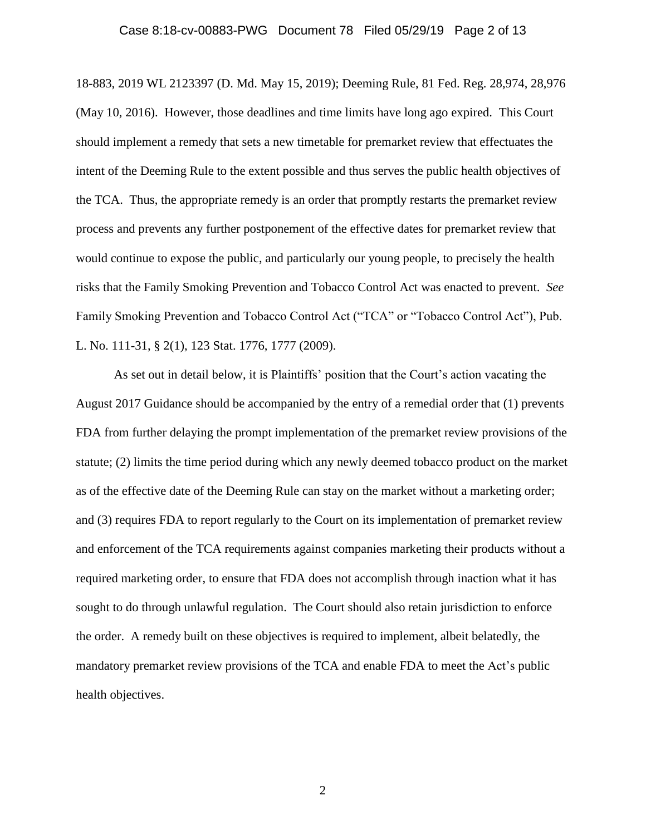### Case 8:18-cv-00883-PWG Document 78 Filed 05/29/19 Page 2 of 13

18-883, 2019 WL 2123397 (D. Md. May 15, 2019); Deeming Rule, 81 Fed. Reg. 28,974, 28,976 (May 10, 2016). However, those deadlines and time limits have long ago expired. This Court should implement a remedy that sets a new timetable for premarket review that effectuates the intent of the Deeming Rule to the extent possible and thus serves the public health objectives of the TCA. Thus, the appropriate remedy is an order that promptly restarts the premarket review process and prevents any further postponement of the effective dates for premarket review that would continue to expose the public, and particularly our young people, to precisely the health risks that the Family Smoking Prevention and Tobacco Control Act was enacted to prevent. *See*  Family Smoking Prevention and Tobacco Control Act ("TCA" or "Tobacco Control Act"), Pub. L. No. 111-31, § 2(1), 123 Stat. 1776, 1777 (2009).

As set out in detail below, it is Plaintiffs' position that the Court's action vacating the August 2017 Guidance should be accompanied by the entry of a remedial order that (1) prevents FDA from further delaying the prompt implementation of the premarket review provisions of the statute; (2) limits the time period during which any newly deemed tobacco product on the market as of the effective date of the Deeming Rule can stay on the market without a marketing order; and (3) requires FDA to report regularly to the Court on its implementation of premarket review and enforcement of the TCA requirements against companies marketing their products without a required marketing order, to ensure that FDA does not accomplish through inaction what it has sought to do through unlawful regulation. The Court should also retain jurisdiction to enforce the order. A remedy built on these objectives is required to implement, albeit belatedly, the mandatory premarket review provisions of the TCA and enable FDA to meet the Act's public health objectives.

2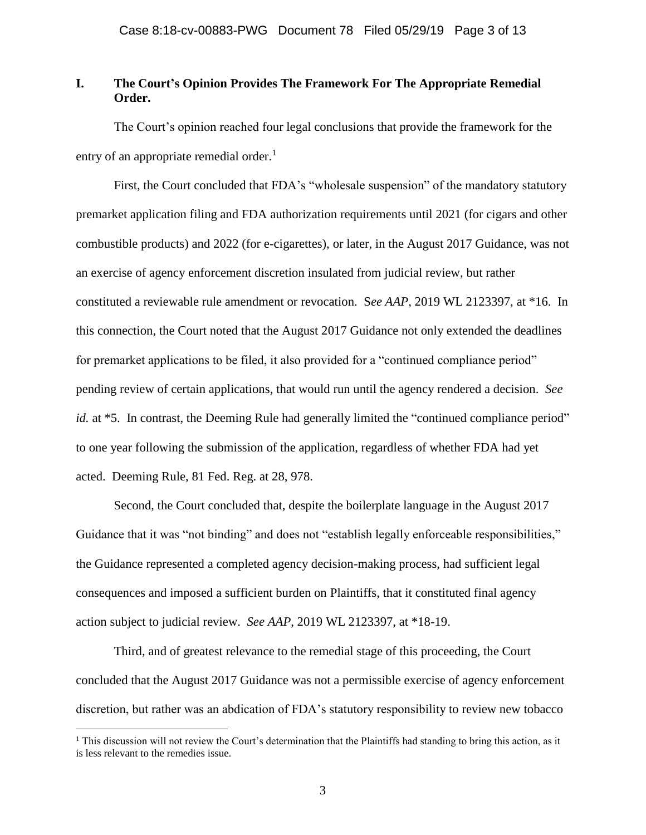# **I. The Court's Opinion Provides The Framework For The Appropriate Remedial Order.**

The Court's opinion reached four legal conclusions that provide the framework for the entry of an appropriate remedial order.<sup>1</sup>

First, the Court concluded that FDA's "wholesale suspension" of the mandatory statutory premarket application filing and FDA authorization requirements until 2021 (for cigars and other combustible products) and 2022 (for e-cigarettes), or later, in the August 2017 Guidance, was not an exercise of agency enforcement discretion insulated from judicial review, but rather constituted a reviewable rule amendment or revocation. S*ee AAP*, 2019 WL 2123397, at \*16. In this connection, the Court noted that the August 2017 Guidance not only extended the deadlines for premarket applications to be filed, it also provided for a "continued compliance period" pending review of certain applications, that would run until the agency rendered a decision. *See id.* at \*5. In contrast, the Deeming Rule had generally limited the "continued compliance period" to one year following the submission of the application, regardless of whether FDA had yet acted. Deeming Rule, 81 Fed. Reg. at 28, 978.

Second, the Court concluded that, despite the boilerplate language in the August 2017 Guidance that it was "not binding" and does not "establish legally enforceable responsibilities," the Guidance represented a completed agency decision-making process, had sufficient legal consequences and imposed a sufficient burden on Plaintiffs, that it constituted final agency action subject to judicial review. *See AAP*, 2019 WL 2123397, at \*18-19.

Third, and of greatest relevance to the remedial stage of this proceeding, the Court concluded that the August 2017 Guidance was not a permissible exercise of agency enforcement discretion, but rather was an abdication of FDA's statutory responsibility to review new tobacco

<sup>&</sup>lt;sup>1</sup> This discussion will not review the Court's determination that the Plaintiffs had standing to bring this action, as it is less relevant to the remedies issue.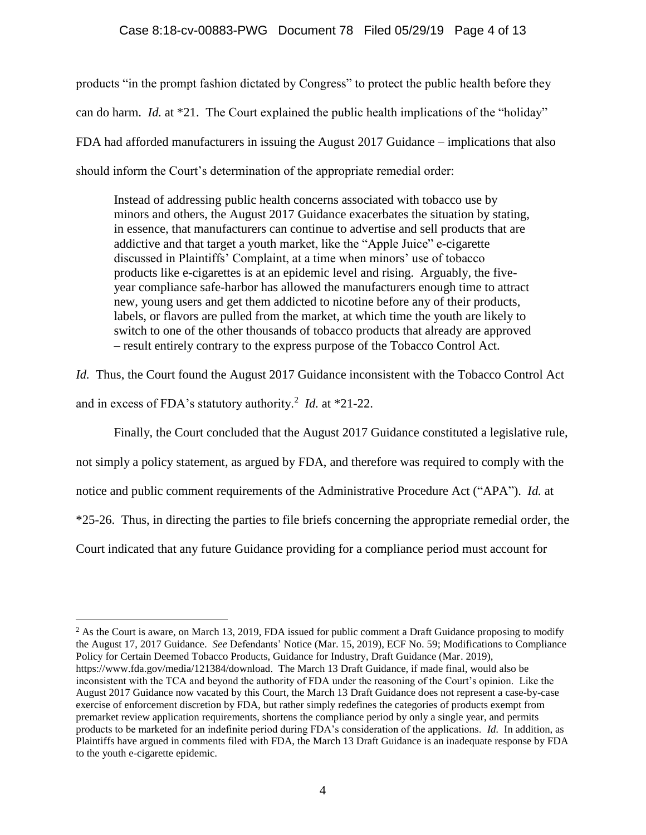products "in the prompt fashion dictated by Congress" to protect the public health before they can do harm. *Id.* at \*21. The Court explained the public health implications of the "holiday" FDA had afforded manufacturers in issuing the August 2017 Guidance – implications that also should inform the Court's determination of the appropriate remedial order:

Instead of addressing public health concerns associated with tobacco use by minors and others, the August 2017 Guidance exacerbates the situation by stating, in essence, that manufacturers can continue to advertise and sell products that are addictive and that target a youth market, like the "Apple Juice" e-cigarette discussed in Plaintiffs' Complaint, at a time when minors' use of tobacco products like e-cigarettes is at an epidemic level and rising. Arguably, the fiveyear compliance safe-harbor has allowed the manufacturers enough time to attract new, young users and get them addicted to nicotine before any of their products, labels, or flavors are pulled from the market, at which time the youth are likely to switch to one of the other thousands of tobacco products that already are approved – result entirely contrary to the express purpose of the Tobacco Control Act.

*Id.* Thus, the Court found the August 2017 Guidance inconsistent with the Tobacco Control Act and in excess of FDA's statutory authority.<sup>2</sup> *Id.* at \*21-22.

Finally, the Court concluded that the August 2017 Guidance constituted a legislative rule,

not simply a policy statement, as argued by FDA, and therefore was required to comply with the

notice and public comment requirements of the Administrative Procedure Act ("APA"). *Id.* at

\*25-26. Thus, in directing the parties to file briefs concerning the appropriate remedial order, the

Court indicated that any future Guidance providing for a compliance period must account for

<sup>&</sup>lt;sup>2</sup> As the Court is aware, on March 13, 2019, FDA issued for public comment a Draft Guidance proposing to modify the August 17, 2017 Guidance. *See* Defendants' Notice (Mar. 15, 2019), ECF No. 59; Modifications to Compliance Policy for Certain Deemed Tobacco Products, Guidance for Industry, Draft Guidance (Mar. 2019), https://www.fda.gov/media/121384/download. The March 13 Draft Guidance, if made final, would also be inconsistent with the TCA and beyond the authority of FDA under the reasoning of the Court's opinion. Like the August 2017 Guidance now vacated by this Court, the March 13 Draft Guidance does not represent a case-by-case exercise of enforcement discretion by FDA, but rather simply redefines the categories of products exempt from premarket review application requirements, shortens the compliance period by only a single year, and permits products to be marketed for an indefinite period during FDA's consideration of the applications. *Id.* In addition, as Plaintiffs have argued in comments filed with FDA, the March 13 Draft Guidance is an inadequate response by FDA to the youth e-cigarette epidemic.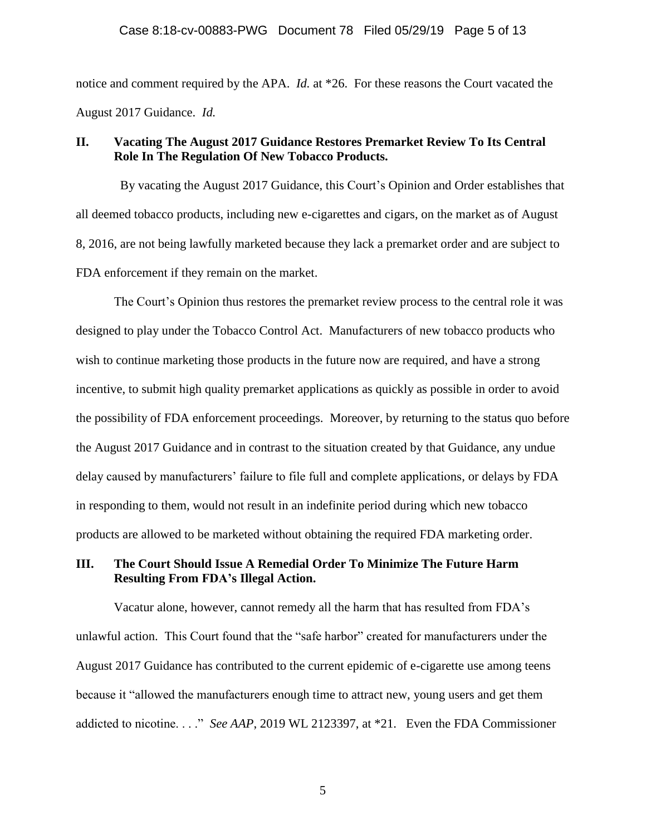notice and comment required by the APA. *Id.* at \*26. For these reasons the Court vacated the August 2017 Guidance. *Id.*

## **II. Vacating The August 2017 Guidance Restores Premarket Review To Its Central Role In The Regulation Of New Tobacco Products.**

 By vacating the August 2017 Guidance, this Court's Opinion and Order establishes that all deemed tobacco products, including new e-cigarettes and cigars, on the market as of August 8, 2016, are not being lawfully marketed because they lack a premarket order and are subject to FDA enforcement if they remain on the market.

The Court's Opinion thus restores the premarket review process to the central role it was designed to play under the Tobacco Control Act. Manufacturers of new tobacco products who wish to continue marketing those products in the future now are required, and have a strong incentive, to submit high quality premarket applications as quickly as possible in order to avoid the possibility of FDA enforcement proceedings. Moreover, by returning to the status quo before the August 2017 Guidance and in contrast to the situation created by that Guidance, any undue delay caused by manufacturers' failure to file full and complete applications, or delays by FDA in responding to them, would not result in an indefinite period during which new tobacco products are allowed to be marketed without obtaining the required FDA marketing order.

# **III. The Court Should Issue A Remedial Order To Minimize The Future Harm Resulting From FDA's Illegal Action.**

Vacatur alone, however, cannot remedy all the harm that has resulted from FDA's unlawful action. This Court found that the "safe harbor" created for manufacturers under the August 2017 Guidance has contributed to the current epidemic of e-cigarette use among teens because it "allowed the manufacturers enough time to attract new, young users and get them addicted to nicotine. . . ." *See AAP*, 2019 WL 2123397, at \*21. Even the FDA Commissioner

5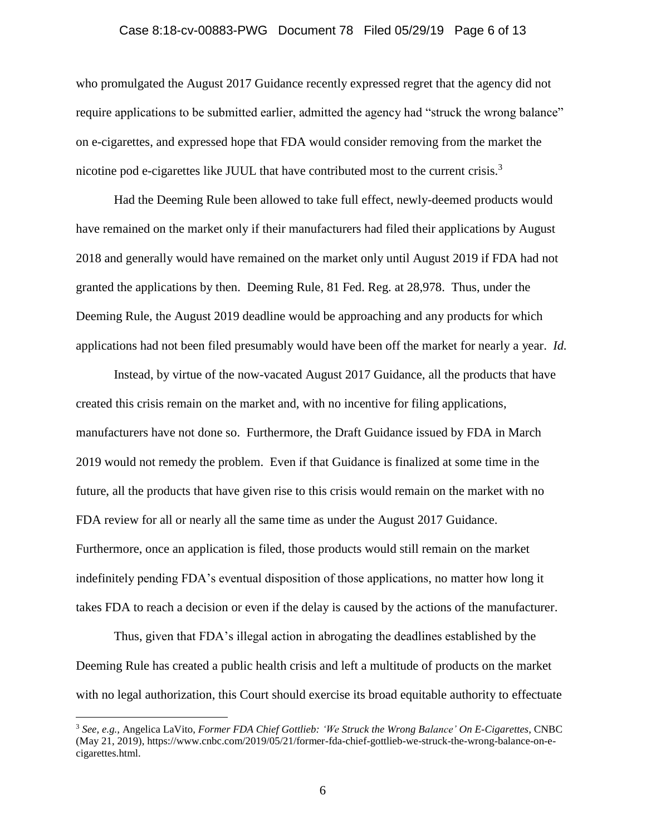## Case 8:18-cv-00883-PWG Document 78 Filed 05/29/19 Page 6 of 13

who promulgated the August 2017 Guidance recently expressed regret that the agency did not require applications to be submitted earlier, admitted the agency had "struck the wrong balance" on e-cigarettes, and expressed hope that FDA would consider removing from the market the nicotine pod e-cigarettes like JUUL that have contributed most to the current crisis.<sup>3</sup>

Had the Deeming Rule been allowed to take full effect, newly-deemed products would have remained on the market only if their manufacturers had filed their applications by August 2018 and generally would have remained on the market only until August 2019 if FDA had not granted the applications by then. Deeming Rule, 81 Fed. Reg. at 28,978. Thus, under the Deeming Rule, the August 2019 deadline would be approaching and any products for which applications had not been filed presumably would have been off the market for nearly a year. *Id.*

Instead, by virtue of the now-vacated August 2017 Guidance, all the products that have created this crisis remain on the market and, with no incentive for filing applications, manufacturers have not done so. Furthermore, the Draft Guidance issued by FDA in March 2019 would not remedy the problem. Even if that Guidance is finalized at some time in the future, all the products that have given rise to this crisis would remain on the market with no FDA review for all or nearly all the same time as under the August 2017 Guidance. Furthermore, once an application is filed, those products would still remain on the market indefinitely pending FDA's eventual disposition of those applications, no matter how long it takes FDA to reach a decision or even if the delay is caused by the actions of the manufacturer.

Thus, given that FDA's illegal action in abrogating the deadlines established by the Deeming Rule has created a public health crisis and left a multitude of products on the market with no legal authorization, this Court should exercise its broad equitable authority to effectuate

<sup>3</sup> *See, e.g.,* Angelica LaVito, *Former FDA Chief Gottlieb: 'We Struck the Wrong Balance' On E-Cigarettes*, CNBC (May 21, 2019), https://www.cnbc.com/2019/05/21/former-fda-chief-gottlieb-we-struck-the-wrong-balance-on-ecigarettes.html.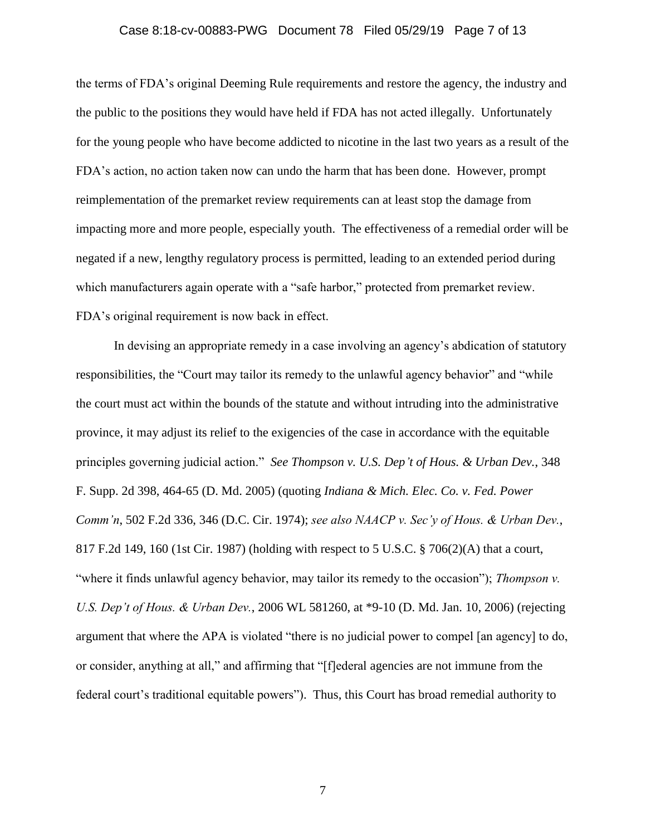## Case 8:18-cv-00883-PWG Document 78 Filed 05/29/19 Page 7 of 13

the terms of FDA's original Deeming Rule requirements and restore the agency, the industry and the public to the positions they would have held if FDA has not acted illegally. Unfortunately for the young people who have become addicted to nicotine in the last two years as a result of the FDA's action, no action taken now can undo the harm that has been done. However, prompt reimplementation of the premarket review requirements can at least stop the damage from impacting more and more people, especially youth. The effectiveness of a remedial order will be negated if a new, lengthy regulatory process is permitted, leading to an extended period during which manufacturers again operate with a "safe harbor," protected from premarket review. FDA's original requirement is now back in effect.

In devising an appropriate remedy in a case involving an agency's abdication of statutory responsibilities, the "Court may tailor its remedy to the unlawful agency behavior" and "while the court must act within the bounds of the statute and without intruding into the administrative province, it may adjust its relief to the exigencies of the case in accordance with the equitable principles governing judicial action." *See Thompson v. U.S. Dep't of Hous. & Urban Dev.*, 348 F. Supp. 2d 398, 464-65 (D. Md. 2005) (quoting *Indiana & Mich. Elec. Co. v. Fed. Power Comm'n*, 502 F.2d 336, 346 (D.C. Cir. 1974); *see also NAACP v. Sec'y of Hous. & Urban Dev.*, 817 F.2d 149, 160 (1st Cir. 1987) (holding with respect to 5 U.S.C. § 706(2)(A) that a court, "where it finds unlawful agency behavior, may tailor its remedy to the occasion"); *Thompson v. U.S. Dep't of Hous. & Urban Dev.*, 2006 WL 581260, at \*9-10 (D. Md. Jan. 10, 2006) (rejecting argument that where the APA is violated "there is no judicial power to compel [an agency] to do, or consider, anything at all," and affirming that "[f]ederal agencies are not immune from the federal court's traditional equitable powers"). Thus, this Court has broad remedial authority to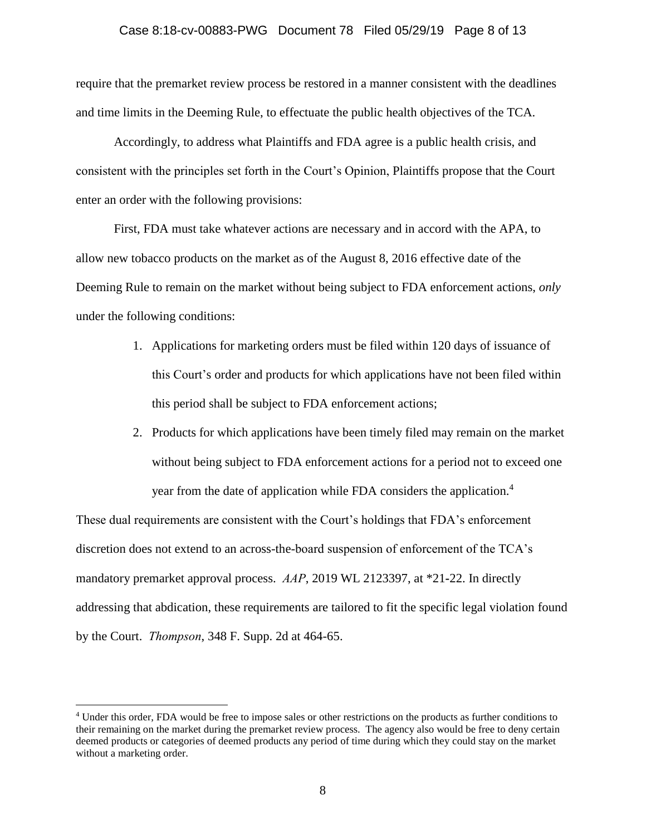#### Case 8:18-cv-00883-PWG Document 78 Filed 05/29/19 Page 8 of 13

require that the premarket review process be restored in a manner consistent with the deadlines and time limits in the Deeming Rule, to effectuate the public health objectives of the TCA.

Accordingly, to address what Plaintiffs and FDA agree is a public health crisis, and consistent with the principles set forth in the Court's Opinion, Plaintiffs propose that the Court enter an order with the following provisions:

First, FDA must take whatever actions are necessary and in accord with the APA, to allow new tobacco products on the market as of the August 8, 2016 effective date of the Deeming Rule to remain on the market without being subject to FDA enforcement actions, *only* under the following conditions:

- 1. Applications for marketing orders must be filed within 120 days of issuance of this Court's order and products for which applications have not been filed within this period shall be subject to FDA enforcement actions;
- 2. Products for which applications have been timely filed may remain on the market without being subject to FDA enforcement actions for a period not to exceed one year from the date of application while FDA considers the application.<sup>4</sup>

These dual requirements are consistent with the Court's holdings that FDA's enforcement discretion does not extend to an across-the-board suspension of enforcement of the TCA's mandatory premarket approval process. *AAP*, 2019 WL 2123397, at \*21**-**22. In directly addressing that abdication, these requirements are tailored to fit the specific legal violation found by the Court. *Thompson*, 348 F. Supp. 2d at 464-65.

<sup>4</sup> Under this order, FDA would be free to impose sales or other restrictions on the products as further conditions to their remaining on the market during the premarket review process. The agency also would be free to deny certain deemed products or categories of deemed products any period of time during which they could stay on the market without a marketing order.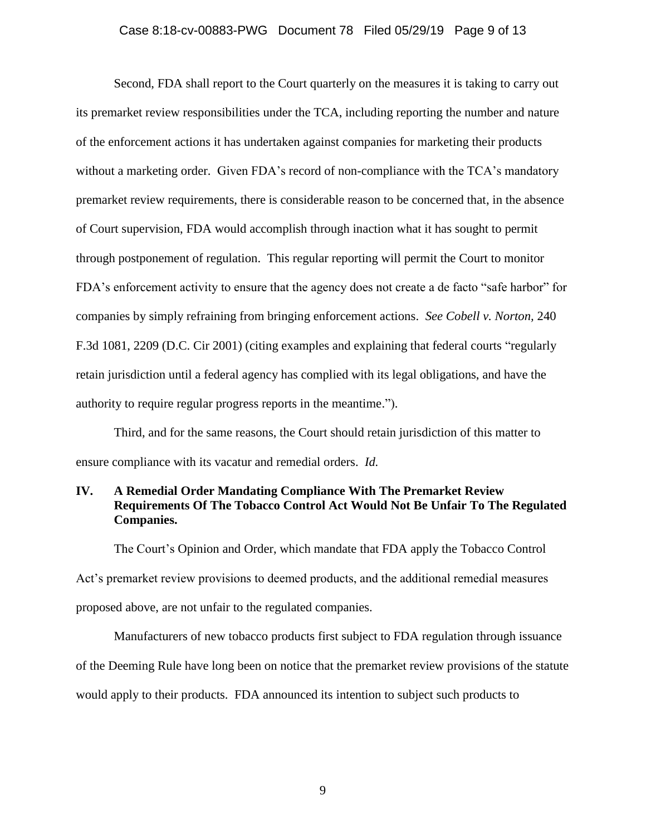#### Case 8:18-cv-00883-PWG Document 78 Filed 05/29/19 Page 9 of 13

Second, FDA shall report to the Court quarterly on the measures it is taking to carry out its premarket review responsibilities under the TCA, including reporting the number and nature of the enforcement actions it has undertaken against companies for marketing their products without a marketing order. Given FDA's record of non-compliance with the TCA's mandatory premarket review requirements, there is considerable reason to be concerned that, in the absence of Court supervision, FDA would accomplish through inaction what it has sought to permit through postponement of regulation. This regular reporting will permit the Court to monitor FDA's enforcement activity to ensure that the agency does not create a de facto "safe harbor" for companies by simply refraining from bringing enforcement actions. *See Cobell v. Norton,* 240 F.3d 1081, 2209 (D.C. Cir 2001) (citing examples and explaining that federal courts "regularly retain jurisdiction until a federal agency has complied with its legal obligations, and have the authority to require regular progress reports in the meantime.").

Third, and for the same reasons, the Court should retain jurisdiction of this matter to ensure compliance with its vacatur and remedial orders. *Id.* 

# **IV. A Remedial Order Mandating Compliance With The Premarket Review Requirements Of The Tobacco Control Act Would Not Be Unfair To The Regulated Companies.**

The Court's Opinion and Order, which mandate that FDA apply the Tobacco Control Act's premarket review provisions to deemed products, and the additional remedial measures proposed above, are not unfair to the regulated companies.

Manufacturers of new tobacco products first subject to FDA regulation through issuance of the Deeming Rule have long been on notice that the premarket review provisions of the statute would apply to their products. FDA announced its intention to subject such products to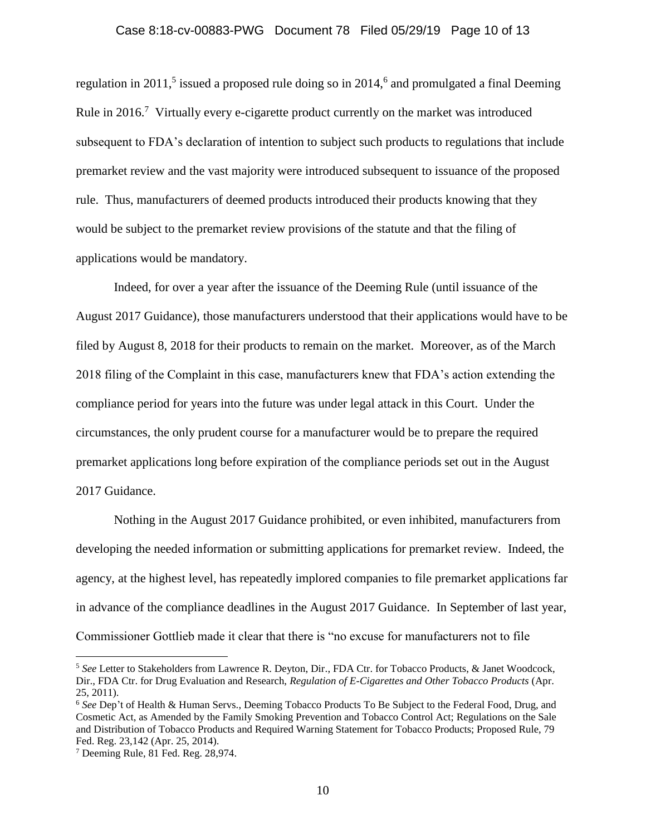## Case 8:18-cv-00883-PWG Document 78 Filed 05/29/19 Page 10 of 13

regulation in 2011,<sup>5</sup> issued a proposed rule doing so in 2014,<sup>6</sup> and promulgated a final Deeming Rule in  $2016$ .<sup>7</sup> Virtually every e-cigarette product currently on the market was introduced subsequent to FDA's declaration of intention to subject such products to regulations that include premarket review and the vast majority were introduced subsequent to issuance of the proposed rule. Thus, manufacturers of deemed products introduced their products knowing that they would be subject to the premarket review provisions of the statute and that the filing of applications would be mandatory.

Indeed, for over a year after the issuance of the Deeming Rule (until issuance of the August 2017 Guidance), those manufacturers understood that their applications would have to be filed by August 8, 2018 for their products to remain on the market. Moreover, as of the March 2018 filing of the Complaint in this case, manufacturers knew that FDA's action extending the compliance period for years into the future was under legal attack in this Court. Under the circumstances, the only prudent course for a manufacturer would be to prepare the required premarket applications long before expiration of the compliance periods set out in the August 2017 Guidance.

Nothing in the August 2017 Guidance prohibited, or even inhibited, manufacturers from developing the needed information or submitting applications for premarket review. Indeed, the agency, at the highest level, has repeatedly implored companies to file premarket applications far in advance of the compliance deadlines in the August 2017 Guidance. In September of last year, Commissioner Gottlieb made it clear that there is "no excuse for manufacturers not to file

<sup>5</sup> *See* Letter to Stakeholders from Lawrence R. Deyton, Dir., FDA Ctr. for Tobacco Products, & Janet Woodcock, Dir., FDA Ctr. for Drug Evaluation and Research, *Regulation of E-Cigarettes and Other Tobacco Products* (Apr. 25, 2011).

<sup>6</sup> *See* Dep't of Health & Human Servs., Deeming Tobacco Products To Be Subject to the Federal Food, Drug, and Cosmetic Act, as Amended by the Family Smoking Prevention and Tobacco Control Act; Regulations on the Sale and Distribution of Tobacco Products and Required Warning Statement for Tobacco Products; Proposed Rule, 79 Fed. Reg. 23,142 (Apr. 25, 2014).

<sup>7</sup> Deeming Rule, 81 Fed. Reg. 28,974.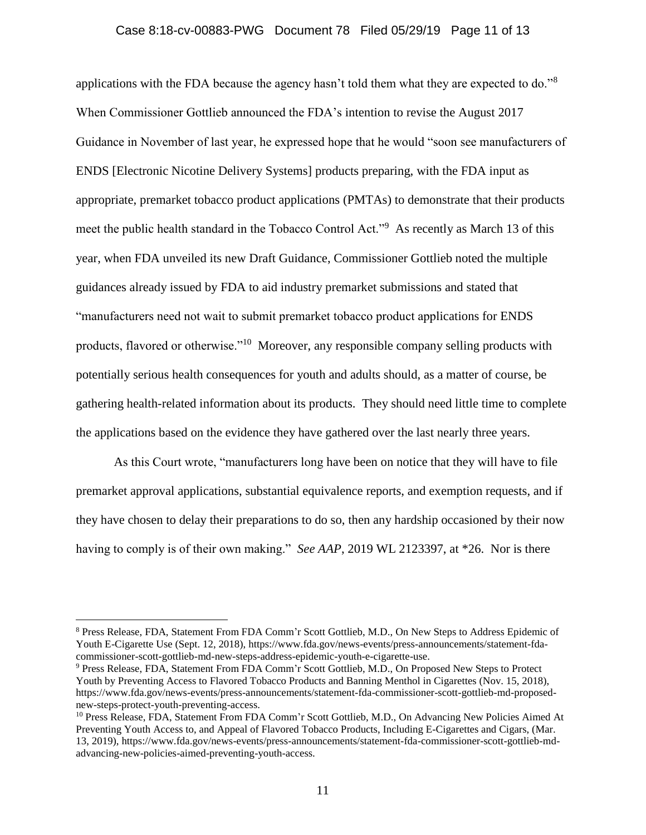#### Case 8:18-cv-00883-PWG Document 78 Filed 05/29/19 Page 11 of 13

applications with the FDA because the agency hasn't told them what they are expected to do."<sup>8</sup> When Commissioner Gottlieb announced the FDA's intention to revise the August 2017 Guidance in November of last year, he expressed hope that he would "soon see manufacturers of ENDS [Electronic Nicotine Delivery Systems] products preparing, with the FDA input as appropriate, premarket tobacco product applications (PMTAs) to demonstrate that their products meet the public health standard in the Tobacco Control Act."<sup>9</sup> As recently as March 13 of this year, when FDA unveiled its new Draft Guidance, Commissioner Gottlieb noted the multiple guidances already issued by FDA to aid industry premarket submissions and stated that "manufacturers need not wait to submit premarket tobacco product applications for ENDS products, flavored or otherwise."<sup>10</sup> Moreover, any responsible company selling products with potentially serious health consequences for youth and adults should, as a matter of course, be gathering health-related information about its products. They should need little time to complete the applications based on the evidence they have gathered over the last nearly three years.

As this Court wrote, "manufacturers long have been on notice that they will have to file premarket approval applications, substantial equivalence reports, and exemption requests, and if they have chosen to delay their preparations to do so, then any hardship occasioned by their now having to comply is of their own making." *See AAP*, 2019 WL 2123397, at \*26. Nor is there

<sup>8</sup> Press Release, FDA, Statement From FDA Comm'r Scott Gottlieb, M.D., On New Steps to Address Epidemic of Youth E-Cigarette Use (Sept. 12, 2018), https://www.fda.gov/news-events/press-announcements/statement-fdacommissioner-scott-gottlieb-md-new-steps-address-epidemic-youth-e-cigarette-use.

<sup>9</sup> Press Release, FDA, Statement From FDA Comm'r Scott Gottlieb, M.D., On Proposed New Steps to Protect Youth by Preventing Access to Flavored Tobacco Products and Banning Menthol in Cigarettes (Nov. 15, 2018), https://www.fda.gov/news-events/press-announcements/statement-fda-commissioner-scott-gottlieb-md-proposednew-steps-protect-youth-preventing-access.

<sup>&</sup>lt;sup>10</sup> Press Release, FDA, Statement From FDA Comm'r Scott Gottlieb, M.D., On Advancing New Policies Aimed At Preventing Youth Access to, and Appeal of Flavored Tobacco Products, Including E-Cigarettes and Cigars, (Mar. 13, 2019), https://www.fda.gov/news-events/press-announcements/statement-fda-commissioner-scott-gottlieb-mdadvancing-new-policies-aimed-preventing-youth-access.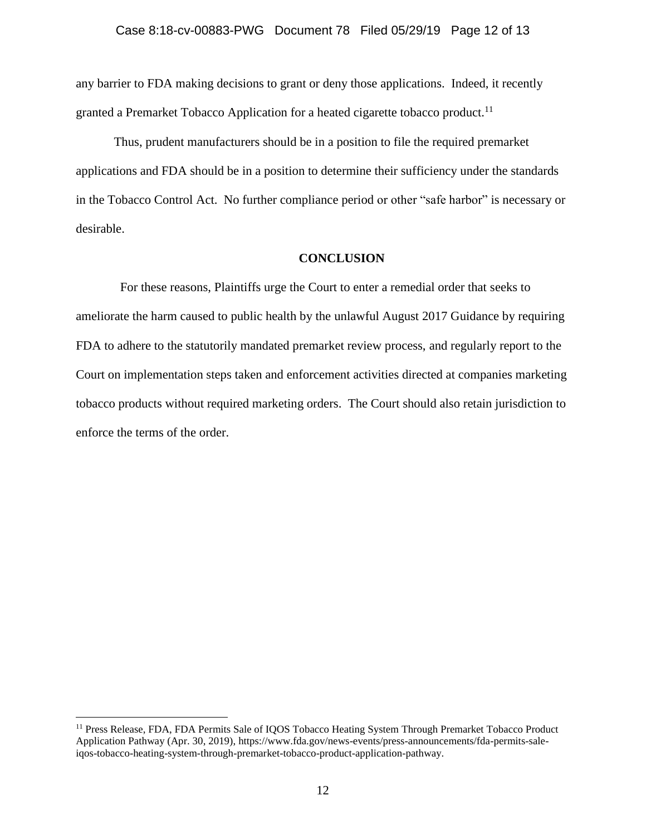#### Case 8:18-cv-00883-PWG Document 78 Filed 05/29/19 Page 12 of 13

any barrier to FDA making decisions to grant or deny those applications. Indeed, it recently granted a Premarket Tobacco Application for a heated cigarette tobacco product.<sup>11</sup>

Thus, prudent manufacturers should be in a position to file the required premarket applications and FDA should be in a position to determine their sufficiency under the standards in the Tobacco Control Act. No further compliance period or other "safe harbor" is necessary or desirable.

#### **CONCLUSION**

 For these reasons, Plaintiffs urge the Court to enter a remedial order that seeks to ameliorate the harm caused to public health by the unlawful August 2017 Guidance by requiring FDA to adhere to the statutorily mandated premarket review process, and regularly report to the Court on implementation steps taken and enforcement activities directed at companies marketing tobacco products without required marketing orders. The Court should also retain jurisdiction to enforce the terms of the order.

<sup>&</sup>lt;sup>11</sup> Press Release, FDA, FDA Permits Sale of IQOS Tobacco Heating System Through Premarket Tobacco Product Application Pathway (Apr. 30, 2019), https://www.fda.gov/news-events/press-announcements/fda-permits-saleiqos-tobacco-heating-system-through-premarket-tobacco-product-application-pathway.